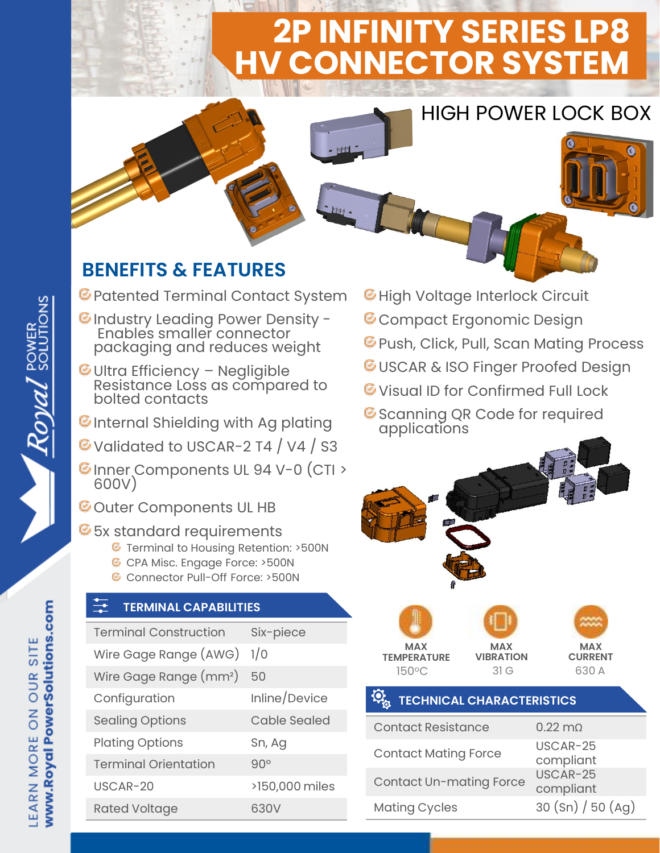# **2P INFINITY SERIES LP8 HV CONNECTOR SYSTEM**



## **BENEFITS & FEATURES**

- Patented Terminal Contact System
- **C** Industry Leading Power Density -Enable's smaller connector packaging and reduces weight
- Ultra Efficiency Negligible Resistance Loss as compared to bolted contacts
- $\Theta$ Internal Shielding with Ag plating
- Validated to USCAR-2 T4 / V4 / S3
- CInner Components UL 94 V-0 (CTI > 600V)
- **C**Outer Components UL HB

### **6** 5x standard requirements

- **G** Terminal to Housing Retention: >500N
- CPA Misc. Engage Force: >500N
- Connector Pull-Off Force: >500N

### **TERMINAL CAPABILITIES**

| <b>Terminal Construction</b>       | Six-piece           |
|------------------------------------|---------------------|
| Wire Gage Range (AWG)              | 1/0                 |
| Wire Gage Range (mm <sup>2</sup> ) | 50                  |
| Configuration                      | Inline/Device       |
| <b>Sealing Options</b>             | <b>Cable Sealed</b> |
| <b>Plating Options</b>             | Sn, Ag              |
| <b>Terminal Orientation</b>        | $90^\circ$          |
| $USCAR-20$                         | >150,000 miles      |
| <b>Rated Voltage</b>               | 630V                |

- **E** High Voltage Interlock Circuit
- **C** Compact Ergonomic Design
- **E** Push, Click, Pull, Scan Mating Process

HIGH POWER LOCK BOX

- *G***USCAR & ISO Finger Proofed Design**
- **E** Visual ID for Confirmed Full Lock
- Scanning QR Code for required applications



### **TECHNICAL CHARACTERISTICS**

| <b>Contact Resistance</b>      | $0.22 \text{ m}$      |
|--------------------------------|-----------------------|
| <b>Contact Mating Force</b>    | USCAR-25<br>compliant |
| <b>Contact Un-mating Force</b> | USCAR-25<br>compliant |
| <b>Mating Cycles</b>           | 30 (Sn) / 50 (Ag)     |